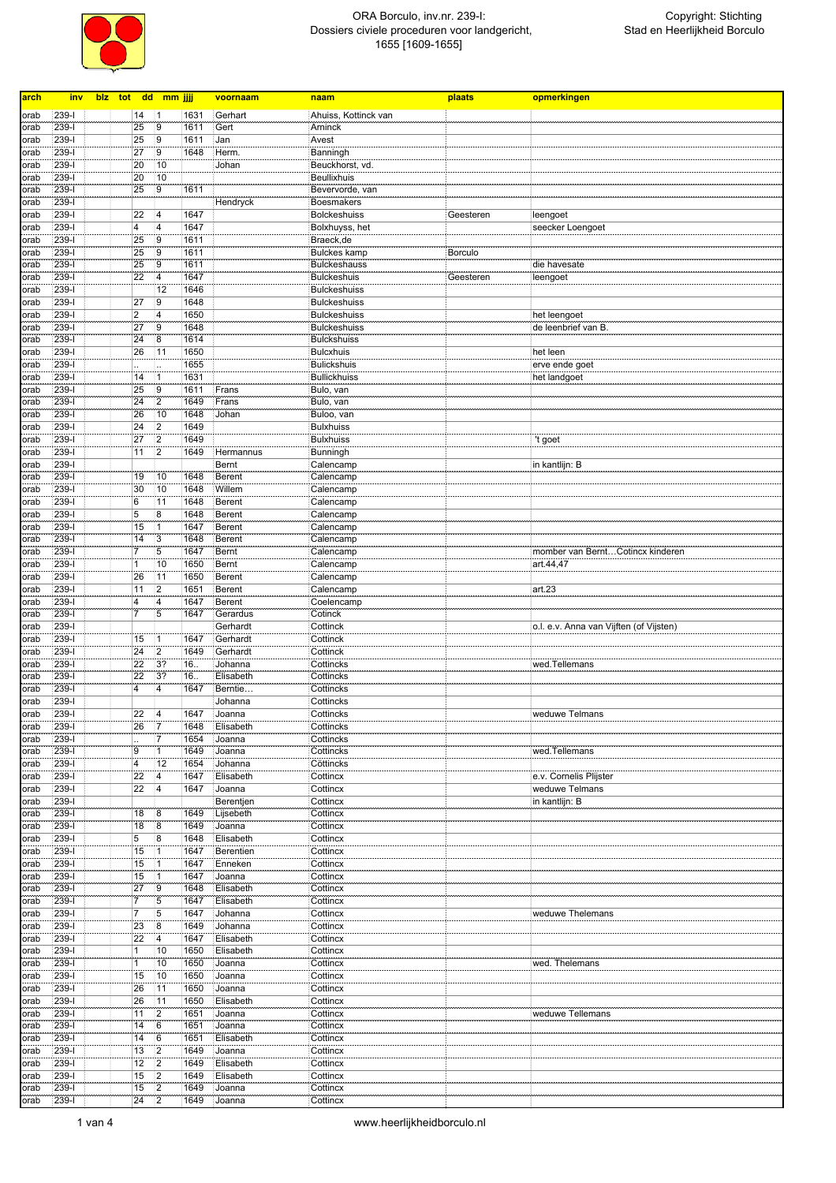

| arch         | <u>inv</u>             |  |                         | blz tot dd mm jjjj               |              | voornaam             | naam                 | plaats         | opmerkingen                             |
|--------------|------------------------|--|-------------------------|----------------------------------|--------------|----------------------|----------------------|----------------|-----------------------------------------|
|              |                        |  |                         |                                  |              |                      |                      |                |                                         |
| orab         | 239-l                  |  | 14                      | 11                               | 1631         | Gerhart              | Ahuiss, Kottinck van |                |                                         |
| orab         | $239 - 1$<br>$239 - 1$ |  | 25<br>25                | 9<br>9                           | 1611<br>1611 | Gert<br>Jan          | Arninck<br>Avest     |                |                                         |
| orab<br>orab | 239-l                  |  | 27                      | 9                                | 1648         | Herm.                | Banningh             |                |                                         |
| orab         | $239 - 1$              |  | 20                      | 10                               |              | Johan                | Beuckhorst, vd.      |                |                                         |
| orab         | $239-I$                |  | 20                      | 10                               |              |                      | <b>Beullixhuis</b>   |                |                                         |
| orab         | 239-l                  |  | 25                      | 9                                | 1611         |                      | Bevervorde, van      |                |                                         |
| orab         | 239-l                  |  |                         |                                  |              | Hendryck             | Boesmakers           |                |                                         |
| orab         | $239-I$                |  | 22                      | $\overline{4}$                   | 1647         |                      | <b>Bolckeshuiss</b>  | Geesteren      | leengoet                                |
| orab         | 239-l                  |  | 4                       | $\overline{4}$                   | 1647         |                      | Bolxhuyss, het       |                | seecker Loengoet                        |
| orab         | 239-l                  |  | 25                      | 9                                | 1611         |                      | Braeck, de           |                |                                         |
| orab         | 239-l                  |  | 25                      | $\overline{9}$                   | 1611         |                      | <b>Bulckes kamp</b>  | <b>Borculo</b> |                                         |
| orab         | 239-l                  |  | 25                      | 9                                | 1611         |                      | <b>Bulckeshauss</b>  |                | die havesate                            |
| orab         | 239-l                  |  | $\overline{22}$         | $\overline{4}$                   | 1647         |                      | Bulckeshuis          | Geesteren      | leengoet                                |
| orab         | $239 - 1$              |  |                         | 12                               | 1646         |                      | <b>Bulckeshuiss</b>  |                |                                         |
| orab         | $239 - 1$              |  | 27                      | 9                                | 1648         |                      | <b>Bulckeshuiss</b>  |                |                                         |
| orab         | 239-l                  |  | $\overline{\mathbf{c}}$ | $\overline{4}$                   | 1650         |                      | <b>Bulckeshuiss</b>  |                | het leengoet                            |
| orab         | $239-I$                |  | 27                      | $\overline{9}$                   | 1648         |                      | <b>Bulckeshuiss</b>  |                | de leenbrief van B.                     |
| orab         | $239 - 1$              |  | 24                      | $\overline{8}$                   | 1614         |                      | <b>Bulckshuiss</b>   |                |                                         |
| orab         | 239-l                  |  | 26                      | 11                               | 1650         |                      | <b>Bulcxhuis</b>     |                | het leen                                |
| orab         | $239-I$                |  |                         | ä,                               | 1655         |                      | <b>Bulickshuis</b>   |                | erve ende goet                          |
| orab         | $239-I$                |  | 14                      | $\overline{1}$                   | 1631         |                      | <b>Bullickhuiss</b>  |                | het landgoet                            |
| orab         | 239-l                  |  | 25                      | 9                                | 1611         | Frans                | Bulo, van            |                |                                         |
| orab         | 239-l                  |  | 24                      | $ 2\rangle$                      | 1649         | Frans                | Bulo, van            |                |                                         |
| orab         | 239-l                  |  | 26                      | 10                               | 1648         | Johan                | Buloo, van           |                |                                         |
| orab         | 239-l                  |  | 24                      | 2                                | 1649         |                      | <b>Bulxhuiss</b>     |                |                                         |
| orab         | 239-l                  |  | 27                      | $\vert$ 2                        | 1649         |                      | <b>Bulxhuiss</b>     |                | 't goet                                 |
| orab         | $239 - 1$              |  | 11                      | $\overline{2}$                   | 1649         | Hermannus            | Bunningh             |                |                                         |
| orab         | 239-l                  |  |                         |                                  |              | Bernt                | Calencamp            |                | in kantlijn: B                          |
| orab         | 239-l                  |  | 19                      | 10                               | 1648         | <b>Berent</b>        | Calencamp            |                |                                         |
| orab         | $239 - 1$              |  | 30                      | 10                               | 1648         | Willem               | Calencamp            |                |                                         |
| orab         | 239-l                  |  | 6                       | 11                               | 1648         | Berent               | Calencamp            |                |                                         |
| orab         | 239-l                  |  | 5                       | 8                                | 1648         | <b>Berent</b>        | Calencamp            |                |                                         |
| orab         | $239 - 1$              |  | 15                      | $\overline{1}$                   | 1647         | <b>Berent</b>        | Calencamp            |                |                                         |
| orab         | $239 - 1$              |  | 14                      | $\overline{3}$                   | 1648         | <b>Berent</b>        | Calencamp            |                |                                         |
| orab         | 239-l                  |  | $\overline{7}$          | 5                                | 1647         | Bernt                | Calencamp            |                | momber van BerntCotincx kinderen        |
| orab         | $239 - 1$              |  | $\mathbf{1}$            | 10                               | 1650         | Bernt                | Calencamp            |                | art.44,47                               |
| orab         | 239-l                  |  | 26                      | 11                               | 1650         | <b>Berent</b>        | Calencamp            |                |                                         |
| orab         | 239-l                  |  | 11                      | $\overline{2}$                   | 1651         | Berent               | Calencamp            |                | art.23                                  |
| orab         | 239-l                  |  | 4<br>$\overline{7}$     | $\overline{4}$<br>$\overline{5}$ | 1647         | <b>Berent</b>        | Coelencamp           |                |                                         |
| orab         | $239 - 1$<br>239-l     |  |                         |                                  | 1647         | Gerardus             | Cotinck              |                |                                         |
| orab         | 239-l                  |  | 15                      |                                  | 1647         | Gerhardt<br>Gerhardt | Cottinck<br>Cottinck |                | o.l. e.v. Anna van Vijften (of Vijsten) |
| orab<br>orab | $239 - 1$              |  | 24                      | $\mathbf{1}$<br>$\overline{2}$   | 1649         | Gerhardt             | Cottinck             |                |                                         |
| orab         | 239-l                  |  | 22                      | 3?                               | 16.          | Johanna              | Cottincks            |                | wed.Tellemans                           |
| orab         | 239-l                  |  | 22                      | 3?                               | 16.          | Elisabeth            | Cottincks            |                |                                         |
| orab         | $239 - 1$              |  | $\overline{4}$          | $\overline{4}$                   | 1647         | Berntie              | Cottincks            |                |                                         |
| orab         | 239-l                  |  |                         |                                  |              | Johanna              | Cottincks            |                |                                         |
| orab         | $239 - 1$              |  | 22                      | $\overline{4}$                   | 1647         | Joanna               | Cottincks            |                | weduwe Telmans                          |
| orab         | $239 - 1$              |  | 26                      | 17                               | 1648         | Elisabeth            | Cottincks            |                |                                         |
| orab         | 239-1                  |  |                         | 7                                | 1654         | Joanna               | Cottincks            |                |                                         |
| orab         | 239-l                  |  | 9                       | $\overline{1}$                   | 1649         | Joanna               | Cottincks            |                | wed.Tellemans                           |
| orab         | 239-l                  |  | $\overline{4}$          | 12                               | 1654         | Johanna              | Cöttincks            |                |                                         |
| orab         | $239 - 1$              |  | 22                      | $\overline{4}$                   | 1647         | Elisabeth            | Cottincx             |                | e.v. Cornelis Plijster                  |
| orab         | 239-l                  |  | 22                      | $\vert$ 4                        | 1647         | Joanna               | Cottincx             |                | weduwe Telmans                          |
| orab         | $239-I$                |  |                         |                                  |              | Berentjen            | Cottincx             |                | in kantlijn: B                          |
| orab         | $239-I$                |  | 18                      | 8                                | 1649         | Lijsebeth            | Cottincx             |                |                                         |
| orab         | 239-l                  |  | 18                      | 8                                | 1649         | Joanna               | Cottincx             |                |                                         |
| orab         | 239-l                  |  | 5                       | 8                                | 1648         | Elisabeth            | Cottincx             |                |                                         |
| orab         | 239-l                  |  | 15                      | $\vert$ 1                        | 1647         | Berentien            | Cottincx             |                |                                         |
| orab         | $239 - 1$              |  | 15                      | $\overline{1}$                   | 1647         | Enneken              | Cottincx             |                |                                         |
| orab         | 239-l                  |  | 15                      | $\mathbf{1}$                     | 1647         | Joanna               | Cottincx             |                |                                         |
| orab         | 239-l                  |  | 27                      | 9                                | 1648         | Elisabeth            | Cottincx             |                |                                         |
| orab         | 239-l                  |  | $\overline{7}$          | 5                                | 1647         | Elisabeth            | Cottincx             |                |                                         |
| orab         | 239-l                  |  | 7                       | 5                                | 1647         | Johanna              | Cottincx             |                | weduwe Thelemans                        |
| orab         | 239-l                  |  | 23                      | 8                                | 1649         | Johanna              | Cottincx             |                |                                         |
| orab         | 239-l                  |  | $\overline{22}$         | $\vert 4 \vert$                  | 1647         | Elisabeth            | Cottincx             |                |                                         |
| orab         | 239-1                  |  | $\mathbf{1}$            | 10                               | 1650         | Elisabeth            | Cottincx             |                |                                         |
| orab         | 239-l                  |  | 1                       | 10                               | 1650         | Joanna               | Cottincx             |                | wed. Thelemans                          |
| orab         | $239 - 1$              |  | 15                      | 10                               | 1650         | Joanna               | Cottincx             |                |                                         |
| orab         | 239-l                  |  | 26                      | 11                               | 1650         | Joanna               | Cottincx             |                |                                         |
| orab         | 239-l                  |  | 26                      | 11                               | 1650         | Elisabeth            | Cottincx             |                |                                         |
| orab         | 239-l                  |  | 11                      | $\overline{2}$                   | 1651         | Joanna               | Cottincx             |                | weduwe Tellemans                        |
| orab         | 239-l                  |  | 14                      | 6                                | 1651         | Joanna               | Cottincx             |                |                                         |
| orab         | 239-l                  |  | 14                      | 6                                | 1651         | Elisabeth            | Cottincx             |                |                                         |
| orab         | 239-l                  |  | 13                      | 2                                | 1649         | Joanna               | Cottincx             |                |                                         |
| orab         | 239-l                  |  | 12                      | $\overline{2}$                   | 1649         | Elisabeth            | Cottincx             |                |                                         |
| orab         | 239-l                  |  | 15                      | $\overline{2}$                   | 1649         | Elisabeth            | Cottincx             |                |                                         |
| orab         | 239-l                  |  | 15                      | $\overline{2}$                   | 1649         | Joanna               | Cottincx             |                |                                         |
| orab         | $239 - 1$              |  | 24                      | 2                                | 1649         | Joanna               | Cottincx             |                |                                         |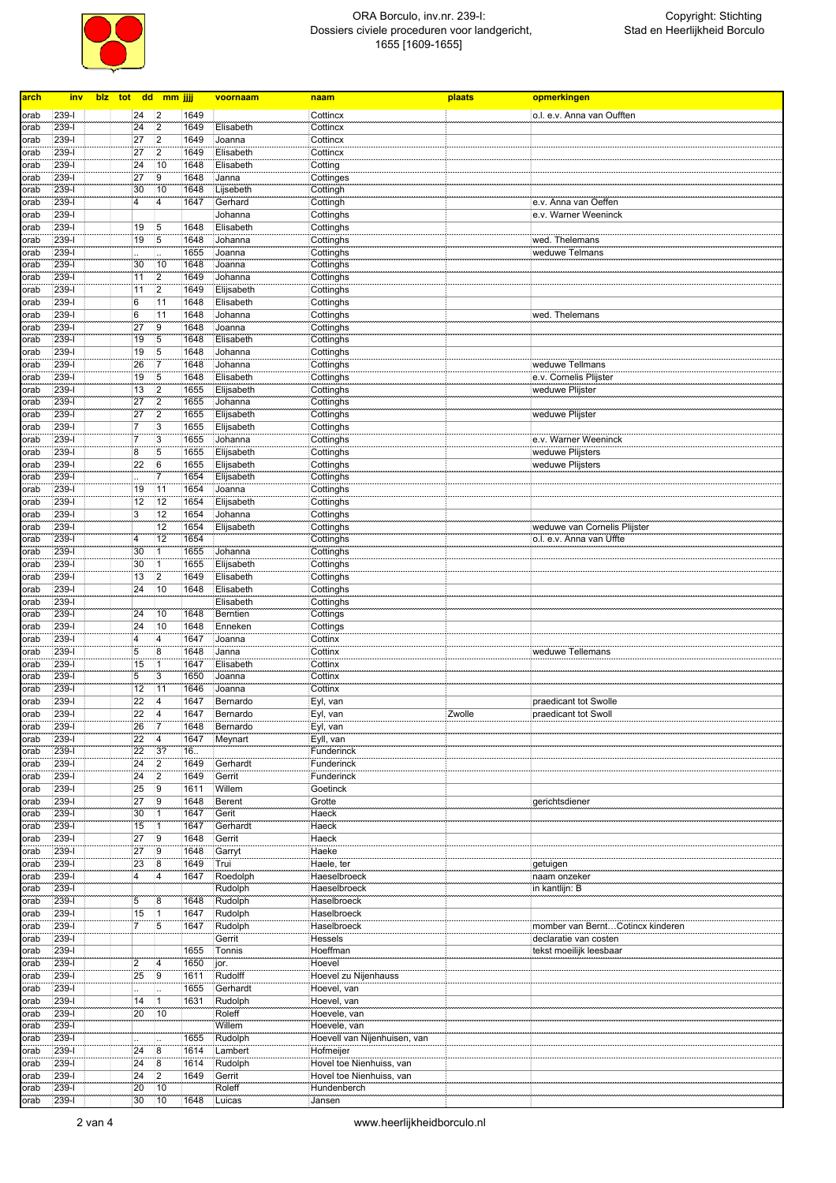

| arch         | inv              | biz tot dd mm jjjj    |                             |              | voornaam                 | naam                                    | plaats | opmerkingen                                   |
|--------------|------------------|-----------------------|-----------------------------|--------------|--------------------------|-----------------------------------------|--------|-----------------------------------------------|
|              |                  |                       |                             |              |                          |                                         |        |                                               |
| orab         | 239-l<br>$239-I$ | 24<br>24              | 2<br>$\overline{2}$         | 1649<br>1649 | Elisabeth                | Cottincx<br>Cottincx                    |        | o.l. e.v. Anna van Oufften                    |
| orab<br>orab | $239 - 1$        | 27                    | $\overline{2}$              | 1649         | Joanna                   | Cottincx                                |        |                                               |
| orab         | 239-l            | 27                    | $\overline{2}$              | 1649         | Elisabeth                | Cottincx                                |        |                                               |
| orab         | $239 - 1$        | 24                    | 10                          | 1648         | Elisabeth                | Cotting                                 |        |                                               |
| orab         | $239 - 1$        | 27                    | $\overline{9}$              | 1648         | Janna                    | Cottinges                               |        |                                               |
| orab         | 239-l            | 30                    | 10                          | 1648         | Lijsebeth                | Cottingh                                |        |                                               |
| orab         | 239-l            | 4                     | 4                           | 1647         | Gerhard                  | Cottingh                                |        | e.v. Anna van Oeffen                          |
| orab         | 239-l            |                       |                             |              | Johanna                  | Cottinghs                               |        | e.v. Warner Weeninck                          |
| orab         | 239-l            | 19                    | 5                           | 1648         | Elisabeth                | Cottinghs                               |        |                                               |
| orab         | 239-l            | 19                    | $5\phantom{.0}$             | 1648         | Johanna                  | Cottinghs                               |        | wed. Thelemans                                |
| orab         | 239-l            |                       | ä,                          | 1655         | Joanna                   | Cottinghs                               |        | weduwe Telmans                                |
| orab         | 239-l            | 30                    | 10                          | 1648         | Joanna                   | Cottinghs                               |        |                                               |
| orab         | 239-l            | 11                    | $\overline{2}$              | 1649         | Johanna                  | Cottinghs                               |        |                                               |
| orab         | $239 - 1$        | 11                    | $\overline{2}$              | 1649         | Elijsabeth               | Cottinghs                               |        |                                               |
| orab         | $239 - 1$        | $\overline{6}$        | $\overline{11}$             | 1648         | Elisabeth                | Cottinghs                               |        |                                               |
| orab         | 239-l            | 6                     | 11                          | 1648         | Johanna                  | Cottinghs                               |        | wed. Thelemans                                |
| orab         | $239-I$          | 27                    | $\overline{9}$              | 1648         | Joanna                   | Cottinghs                               |        |                                               |
| orab         | 239-l            | 19                    | $\overline{5}$              | 1648         | Elisabeth                | Cottinghs                               |        |                                               |
| orab         | 239-l            | 19                    | $5\phantom{.0}$             | 1648         | Johanna                  | Cottinghs                               |        |                                               |
| orab         | 239-l            | 26                    | 17                          | 1648         | Johanna                  | Cottinghs                               |        | weduwe Tellmans                               |
| orab         | $239-I$          | 19                    | $5\overline{5}$             | 1648         | Elisabeth                | Cottinghs                               |        | e.v. Cornelis Plijster                        |
| orab         | 239-l            | 13                    | 2                           | 1655         | Elijsabeth               | Cottinghs                               |        | weduwe Plijster                               |
| orab         | 239-l<br>239-l   | 27<br>27              | 2 <br> 2                    | 1655<br>1655 | Johanna                  | Cottinghs                               |        |                                               |
| orab         | 239-l            | 7                     | 3                           | 1655         | Elijsabeth<br>Elijsabeth | Cottinghs<br>Cottinghs                  |        | weduwe Plijster                               |
| orab<br>orab | 239-l            | 7                     | $\mathbf{3}$                | 1655         | Johanna                  | Cottinghs                               |        | e.v. Warner Weeninck                          |
| orab         | $239 - 1$        | $\overline{8}$        | 5                           | 1655         | Elijsabeth               | Cottinghs                               |        | weduwe Plijsters                              |
| orab         | 239-l            | 22                    | 6                           | 1655         | Elijsabeth               | Cottinghs                               |        | weduwe Plijsters                              |
| orab         | 239-l            |                       | $\overline{7}$              | 1654         | Elijsabeth               | Cottinghs                               |        |                                               |
| orab         | $239 - 1$        | 19                    | 11                          | 1654         | Joanna                   | Cottinghs                               |        |                                               |
| orab         | $239-I$          | 12                    | 12                          | 1654         | Elijsabeth               | Cottinghs                               |        |                                               |
| orab         | 239-l            | 3                     | 12                          | 1654         | Johanna                  | Cottinghs                               |        |                                               |
| orab         | 239-l            |                       | 12                          | 1654         | Elijsabeth               | Cottinghs                               |        | weduwe van Cornelis Plijster                  |
| orab         | 239-l            | 4                     | 12                          | 1654         |                          | Cottinghs                               |        | o.l. e.v. Anna van Uffte                      |
| orab         | 239-l            | 30                    | $\overline{1}$              | 1655         | Johanna                  | Cottinghs                               |        |                                               |
| orab         | 239-l            | 30                    | $\vert$ 1                   | 1655         | Elijsabeth               | Cottinghs                               |        |                                               |
| orab         | $239 - 1$        | 13                    | $\overline{2}$              | 1649         | Elisabeth                | Cottinghs                               |        |                                               |
| orab         | 239-l            | 24                    | 10                          | 1648         | Elisabeth                | Cottinghs                               |        |                                               |
| orab         | 239-l            |                       |                             |              | Elisabeth                | Cottinghs                               |        |                                               |
| orab         | $239-I$          | 24                    | 10                          | 1648         | <b>Berntien</b>          | Cottings                                |        |                                               |
| orab         | 239-l            | 24                    | 10                          | 1648         | Enneken                  | Cottings                                |        |                                               |
| orab         | 239-l            | $\overline{4}$        | $\overline{\mathbf{4}}$     | 1647         | Joanna                   | Cottinx                                 |        |                                               |
| orab         | 239-l            | $\overline{5}$        | 8                           | 1648         | Janna                    | Cottinx                                 |        | weduwe Tellemans                              |
| orab         | 239-l            | 15                    | 1                           | 1647         | Elisabeth                | Cottinx                                 |        |                                               |
| orab         | 239-l            | 5                     | 3                           | 1650         | Joanna                   | Cottinx                                 |        |                                               |
| orab         | 239-l            | 12                    | 11                          | 1646         | Joanna                   | Cottinx                                 |        |                                               |
| orab         | 239-l<br>239-l   | 22<br>$\overline{22}$ | $\overline{4}$<br>$\vert$ 4 | 1647         | Bernardo                 | Eyl, van                                | Zwolle | praedicant tot Swolle<br>praedicant tot Swoll |
| orab<br>orab | $239 - 1$        | 26                    | 7                           | 1647<br>1648 | Bernardo<br>Bernardo     | Eyl, van<br>Eyl, van                    |        |                                               |
| orab         | 239-l            | 22                    | $\overline{4}$              | 1647         | Meynart                  | Eyll, van                               |        |                                               |
| orab         | 239-l            | 22                    | 3?                          | 16.          |                          | Funderinck                              |        |                                               |
| orab         | $239-I$          | 24                    | $\overline{2}$              | 1649         | Gerhardt                 | Funderinck                              |        |                                               |
| orab         | $239 - 1$        | 24                    | $\overline{2}$              | 1649         | Gerrit                   | Funderinck                              |        |                                               |
| orab         | 239-l            | 25                    | 9                           | 1611         | Willem                   | Goetinck                                |        |                                               |
| orab         | $239 - 1$        | 27                    | $\overline{9}$              | 1648         | Berent                   | Grotte                                  |        | gerichtsdiener                                |
| orab         | 239-l            | 30                    | $\overline{1}$              | 1647         | Gerit                    | Haeck                                   |        |                                               |
| orab         | 239-l            | 15                    | $\vert$ 1                   | 1647         | Gerhardt                 | Haeck                                   |        |                                               |
| orab         | 239-l            | 27                    | 9                           | 1648         | Gerrit                   | Haeck                                   |        |                                               |
| orab         | 239-l            | 27                    | 9                           | 1648         | Garryt                   | Haeke                                   |        |                                               |
| orab         | 239-l            | 23                    | 8                           | 1649         | Trui                     | Haele, ter                              |        | getuigen                                      |
| orab         | 239-l            | $\overline{4}$        | $\overline{4}$              | 1647         | Roedolph                 | Haeselbroeck                            |        | naam onzeker                                  |
| orab         | 239-l            |                       |                             |              | Rudolph                  | Haeselbroeck                            |        | in kantlijn: B                                |
| orab         | 239-l            | 5                     | 8                           | 1648         | Rudolph                  | Haselbroeck                             |        |                                               |
| orab         | 239-l            | 15                    | $ 1 \rangle$                | 1647         | Rudolph                  | Haselbroeck                             |        |                                               |
| orab         | 239-l            | $\overline{7}$        | 5                           | 1647         | Rudolph                  | <b>Haselbroeck</b>                      |        | momber van BerntCotincx kinderen              |
| orab         | 239-l            |                       |                             |              | Gerrit                   | Hessels                                 |        | declaratie van costen                         |
| orab         | $239 - 1$        |                       |                             | 1655         | Tonnis                   | Hoeffman                                |        | tekst moeilijk leesbaar                       |
| orab         | 239-l            | $\overline{2}$        | $\overline{4}$              | 1650         | jor.                     | Hoevel                                  |        |                                               |
| orab         | 239-l            | 25                    | 9                           | 1611         | Rudolff                  | Hoevel zu Nijenhauss                    |        |                                               |
| orab         | 239-l            |                       | Ω.                          | 1655         | Gerhardt                 | Hoevel, van                             |        |                                               |
| orab         | 239-l            | 14                    | $\overline{1}$              | 1631         | Rudolph                  | Hoevel, van                             |        |                                               |
| orab         | 239-l            | 20                    | 10                          |              | Roleff                   | Hoevele, van                            |        |                                               |
| orab         | 239-l            |                       |                             |              | Willem                   | Hoevele, van                            |        |                                               |
| orab         | 239-l            |                       | $\ddotsc$                   | 1655         | Rudolph                  | Hoevell van Nijenhuisen, van            |        |                                               |
| orab         | 239-l            | 24                    | 8                           | 1614         | Lambert                  | Hofmeijer                               |        |                                               |
| orab         | 239-l            | 24                    | 8                           | 1614         | Rudolph                  | Hovel toe Nienhuiss, van                |        |                                               |
| orab<br>orab | 239-l<br>239-l   | 24<br>20              | $ 2\rangle$<br>10           | 1649         | Gerrit<br>Roleff         | Hovel toe Nienhuiss, van<br>Hundenberch |        |                                               |
| orab         | 239-l            | 30                    | 10                          | 1648         | Luicas                   | Jansen                                  |        |                                               |
|              |                  |                       |                             |              |                          |                                         |        |                                               |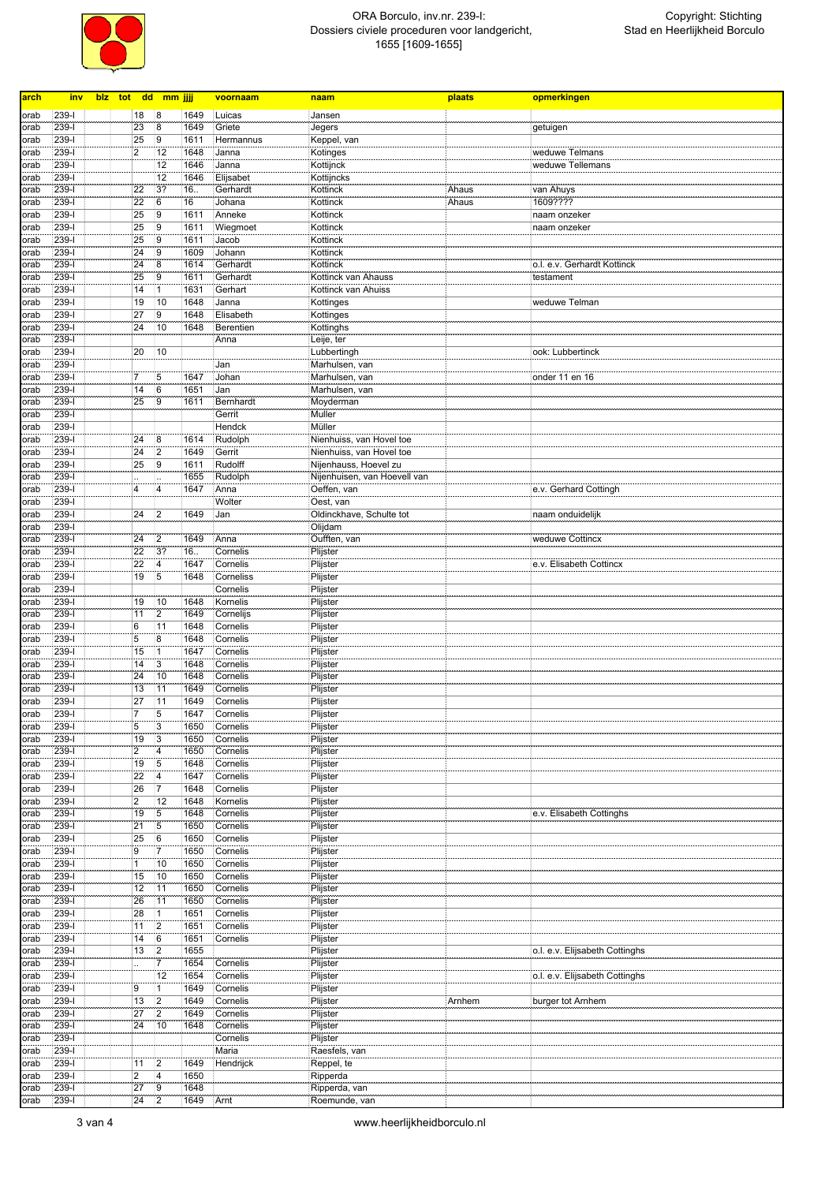

| arch | <u>inv</u> | blz tot dd mm jjjj |                         |                         |      | voornaam  | naam                         | plaats | opmerkingen                    |
|------|------------|--------------------|-------------------------|-------------------------|------|-----------|------------------------------|--------|--------------------------------|
|      |            |                    |                         |                         |      |           |                              |        |                                |
| orab | 239-l      |                    | 18                      | 8                       | 1649 | Luicas    | Jansen                       |        |                                |
| orab | $239 -$    |                    | 23                      | 8                       | 1649 | Griete    | Jegers                       |        | getuigen                       |
| orab | $239 - 1$  |                    | 25                      | $\overline{9}$          | 1611 | Hermannus | Keppel, van                  |        |                                |
| orab | 239-l      |                    | $\boldsymbol{2}$        | 12                      | 1648 | Janna     | Kotinges                     |        | weduwe Telmans                 |
| orab | $239 - 1$  |                    |                         | 12                      | 1646 | Janna     | Kottijnck                    |        | weduwe Tellemans               |
| orab | $239 - 1$  |                    |                         | 12                      | 1646 | Elijsabet | Kottijncks                   |        |                                |
| orab | 239-l      |                    | 22                      | 3?                      | 16   | Gerhardt  | Kottinck                     | Ahaus  | van Ahuys                      |
| orab | 239-l      |                    | 22                      | 6                       | 16   | Johana    | Kottinck                     | Ahaus  | 1609????                       |
| orab | 239-l      |                    | 25                      | 9                       | 1611 | Anneke    | Kottinck                     |        | naam onzeker                   |
| orab | 239-l      |                    | 25                      | 9                       | 1611 | Wiegmoet  | Kottinck                     |        | naam onzeker                   |
| orab | 239-l      |                    | 25                      | 9                       | 1611 | Jacob     | Kottinck                     |        |                                |
| orab | 239-l      |                    | $\overline{24}$         | $\overline{9}$          | 1609 | Johann    | Kottinck                     |        |                                |
| orab | 239-l      |                    | 24                      | 8                       | 1614 | Gerhardt  | Kottinck                     |        | o.l. e.v. Gerhardt Kottinck    |
| orab | 239-l      |                    | 25                      | 9                       | 1611 | Gerhardt  | Kottinck van Ahauss          |        | testament                      |
| orab | $239 - 1$  |                    | 14                      | $\overline{1}$          | 1631 | Gerhart   | Kottinck van Ahuiss          |        |                                |
| orab | $239 - 1$  |                    | 19                      | 10                      | 1648 | Janna     | Kottinges                    |        | weduwe Telman                  |
| orab | 239-l      |                    | 27                      | 9                       | 1648 | Elisabeth | Kottinges                    |        |                                |
| orab | $239 - 1$  |                    | 24                      | 10                      | 1648 | Berentien | Kottinghs                    |        |                                |
| orab | $239 - 1$  |                    |                         |                         |      | Anna      | Leije, ter                   |        |                                |
| orab | 239-l      |                    | 20                      | 10                      |      |           | Lubbertingh                  |        | ook: Lubbertinck               |
| orab | 239-l      |                    |                         |                         |      | Jan       | Marhulsen, van               |        |                                |
| orab | $239 - 1$  |                    | 7                       | 5                       | 1647 | Johan     | Marhulsen, van               |        | onder 11 en 16                 |
| orab | 239-l      |                    | 14                      | 6                       | 1651 | Jan       | Marhulsen, van               |        |                                |
| orab | 239-l      |                    | 25                      | 9                       | 1611 | Bernhardt | Moyderman                    |        |                                |
| orab | 239-l      |                    |                         |                         |      | Gerrit    | Muller                       |        |                                |
| orab | 239-l      |                    |                         |                         |      | Hendck    | Müller                       |        |                                |
| orab | 239-l      |                    | 24                      | 8                       | 1614 | Rudolph   | Nienhuiss, van Hovel toe     |        |                                |
| orab | $239 - 1$  |                    | 24                      | $ 2\rangle$             | 1649 | Gerrit    | Nienhuiss, van Hovel toe     |        |                                |
|      | 239-l      |                    |                         | 9                       | 1611 | Rudolff   |                              |        |                                |
| orab |            |                    | 25                      |                         |      |           | Nijenhauss, Hoevel zu        |        |                                |
| orab | 239-l      |                    |                         |                         | 1655 | Rudolph   | Nijenhuisen, van Hoevell van |        |                                |
| orab | $239 - 1$  |                    | 4                       | 4                       | 1647 | Anna      | Oeffen, van                  |        | e.v. Gerhard Cottingh          |
| orab | 239-l      |                    |                         |                         |      | Wolter    | Oest, van                    |        |                                |
| orab | 239-l      |                    | 24                      | 2                       | 1649 | Jan       | Oldinckhave, Schulte tot     |        | naam onduidelijk               |
| orab | 239-l      |                    |                         |                         |      |           | Olijdam                      |        |                                |
| orab | 239-l      |                    | 24                      | $\overline{2}$          | 1649 | Anna      | Oufften, van                 |        | weduwe Cottincx                |
| orab | 239-l      |                    | 22                      | 3?                      | 16.  | Cornelis  | Plijster                     |        |                                |
| orab | 239-l      |                    | 22                      | $\overline{4}$          | 1647 | Cornelis  | Plijster                     |        | e.v. Elisabeth Cottincx        |
| orab | 239-l      |                    | 19                      | $5\overline{}$          | 1648 | Corneliss | Plijster                     |        |                                |
| orab | 239-l      |                    |                         |                         |      | Cornelis  | Plijster                     |        |                                |
| orab | 239-l      |                    | 19                      | 10                      | 1648 | Kornelis  | Plijster                     |        |                                |
| orab | $239 - 1$  |                    | 11                      | $\overline{2}$          | 1649 | Cornelijs | Plijster                     |        |                                |
| orab | 239-l      |                    | 6                       | 11                      | 1648 | Cornelis  | Plijster                     |        |                                |
| orab | 239-l      |                    | 5                       | 8                       | 1648 | Cornelis  | Plijster                     |        |                                |
| orab | $239 - 1$  |                    | 15                      | $\overline{1}$          | 1647 | Cornelis  | Plijster                     |        |                                |
| orab | 239-l      |                    | 14                      | 3                       | 1648 | Cornelis  | Plijster                     |        |                                |
| orab | 239-l      |                    | 24                      | 10                      | 1648 | Cornelis  | Plijster                     |        |                                |
| orab | 239-l      |                    | 13                      | 11                      | 1649 | Cornelis  | Plijster                     |        |                                |
| orab | 239-l      |                    | 27                      | 11                      | 1649 | Cornelis  | Plijster                     |        |                                |
| orab | 239-l      |                    | $\overline{7}$          | $\overline{5}$          | 1647 | Cornelis  | Plijster                     |        |                                |
| orab | 239-l      |                    | 5                       | $\overline{3}$          | 1650 | Cornelis  | Plijster                     |        |                                |
| orab | $239 - 1$  |                    | 19                      | $\overline{3}$          | 1650 | Cornelis  | Plijster                     |        |                                |
| orab | 239-1      |                    | $\overline{\mathbf{c}}$ | $\overline{\mathbf{4}}$ | 1650 | Cornelis  | Plijster                     |        |                                |
| orab | $239 - 1$  |                    | 19                      | $\overline{5}$          | 1648 | Cornelis  | Plijster                     |        |                                |
|      |            |                    |                         |                         |      |           |                              |        |                                |
| orab | $239 - 1$  |                    | 22                      | $\overline{4}$          | 1647 | Cornelis  | Plijster                     |        |                                |
| orab | $239 - 1$  |                    | 26                      | 7                       | 1648 | Cornelis  | Plijster                     |        |                                |
| orab | $239 - 1$  |                    | $\overline{2}$          | 12                      | 1648 | Kornelis  | Plijster                     |        |                                |
| orab | $239-I$    |                    | 19                      | $\overline{5}$          | 1648 | Cornelis  | Plijster                     |        | e.v. Elisabeth Cottinghs       |
| orab | 239-l      |                    | 21                      | 5                       | 1650 | Cornelis  | Plijster                     |        |                                |
| orab | 239-l      |                    | 25                      | 6                       | 1650 | Cornelis  | Plijster                     |        |                                |
| orab | $239 - 1$  |                    | 9                       | $\overline{7}$          | 1650 | Cornelis  | Plijster                     |        |                                |
| orab | 239-l      |                    | $\mathbf{1}$            | 10                      | 1650 | Cornelis  | Plijster                     |        |                                |
| orab | 239-l      |                    | 15                      | 10                      | 1650 | Cornelis  | Plijster                     |        |                                |
| orab | $239-I$    |                    | 12                      | 11                      | 1650 | Cornelis  | Plijster                     |        |                                |
| orab | 239-l      |                    | 26                      | 11                      | 1650 | Cornelis  | Plijster                     |        |                                |
| orab | 239-l      |                    | 28                      | $\mathbf{1}$            | 1651 | Cornelis  | Plijster                     |        |                                |
| orab | $239 - 1$  |                    | 11                      | $\overline{2}$          | 1651 | Cornelis  | Plijster                     |        |                                |
| orab | $239-I$    |                    | 14                      | 6                       | 1651 | Cornelis  | Plijster                     |        |                                |
| orab | 239-l      |                    | 13                      | $\overline{2}$          | 1655 |           | Plijster                     |        | o.l. e.v. Elijsabeth Cottinghs |
| orab | $239 - 1$  |                    |                         | $\overline{7}$          | 1654 | Cornelis  | Plijster                     |        |                                |
| orab | $239 - 1$  |                    |                         | 12                      | 1654 | Cornelis  | Plijster                     |        | o.l. e.v. Elijsabeth Cottinghs |
| orab | 239-l      |                    | 9                       | $\mathbf{1}$            | 1649 | Cornelis  | Plijster                     |        |                                |
| orab | $239 - 1$  |                    | 13                      | $\overline{2}$          | 1649 | Cornelis  | Plijster                     | Arnhem | burger tot Arnhem              |
| orab | $239 - 1$  |                    | 27                      | $\overline{2}$          | 1649 | Cornelis  | Plijster                     |        |                                |
| orab | 239-1      |                    | 24                      | 10                      | 1648 | Cornelis  | Plijster                     |        |                                |
| orab | 239-l      |                    |                         |                         |      | Cornelis  | Plijster                     |        |                                |
| orab | $239 - 1$  |                    |                         |                         |      | Maria     | Raesfels, van                |        |                                |
|      | 239-l      |                    |                         | 2                       | 1649 |           | Reppel, te                   |        |                                |
| orab |            |                    | 11                      |                         |      | Hendrijck |                              |        |                                |
| orab | 239-l      |                    | $\overline{2}$          | $\overline{4}$          | 1650 |           | Ripperda                     |        |                                |
| orab | $239 - 1$  |                    | 27                      | $\overline{9}$          | 1648 |           | Ripperda, van                |        |                                |
| orab | $239 - 1$  |                    | 24                      | 2                       | 1649 | Arnt      | Roemunde, van                |        |                                |